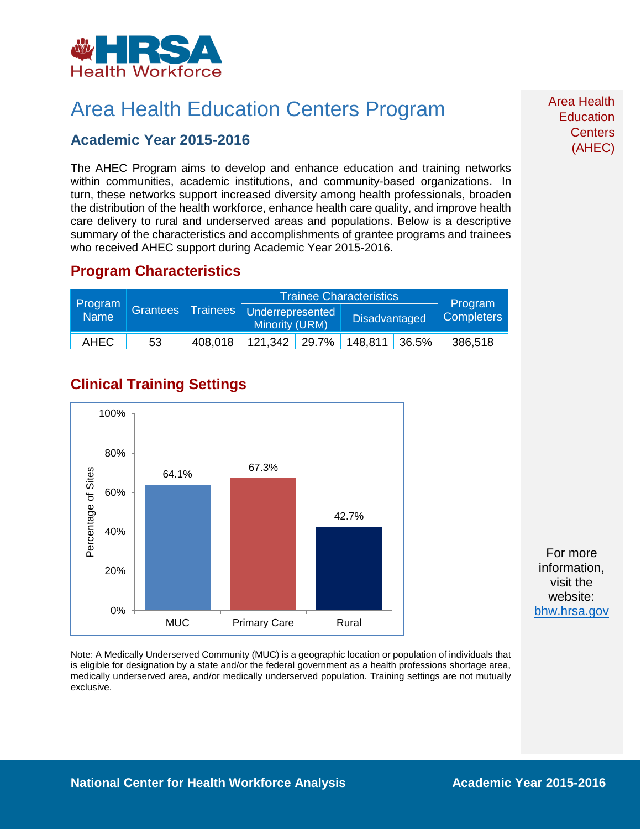

# Area Health Education Centers Program

### **Academic Year 2015-2016**

The AHEC Program aims to develop and enhance education and training networks within communities, academic institutions, and community-based organizations. In turn, these networks support increased diversity among health professionals, broaden the distribution of the health workforce, enhance health care quality, and improve health care delivery to rural and underserved areas and populations. Below is a descriptive summary of the characteristics and accomplishments of grantee programs and trainees who received AHEC support during Academic Year 2015-2016.

### **Program Characteristics**

| <b>Program</b><br>Name | <b>Grantees</b> |         | <b>Trainee Characteristics</b>              |  |                      |       | Program           |
|------------------------|-----------------|---------|---------------------------------------------|--|----------------------|-------|-------------------|
|                        |                 |         | Trainees Underrepresented<br>Minority (URM) |  | <b>Disadvantaged</b> |       | <b>Completers</b> |
| <b>AHEC</b>            | 53              | 408.018 | $121.342$ 29.7%                             |  | 148.811              | 36.5% | 386,518           |

## **Clinical Training Settings**



For more information, visit the website: [bhw.hrsa.gov](http://bhw.hrsa.gov/)

Note: A Medically Underserved Community (MUC) is a geographic location or population of individuals that is eligible for designation by a state and/or the federal government as a health professions shortage area, medically underserved area, and/or medically underserved population. Training settings are not mutually exclusive.

Area Health **Education Centers** (AHEC)